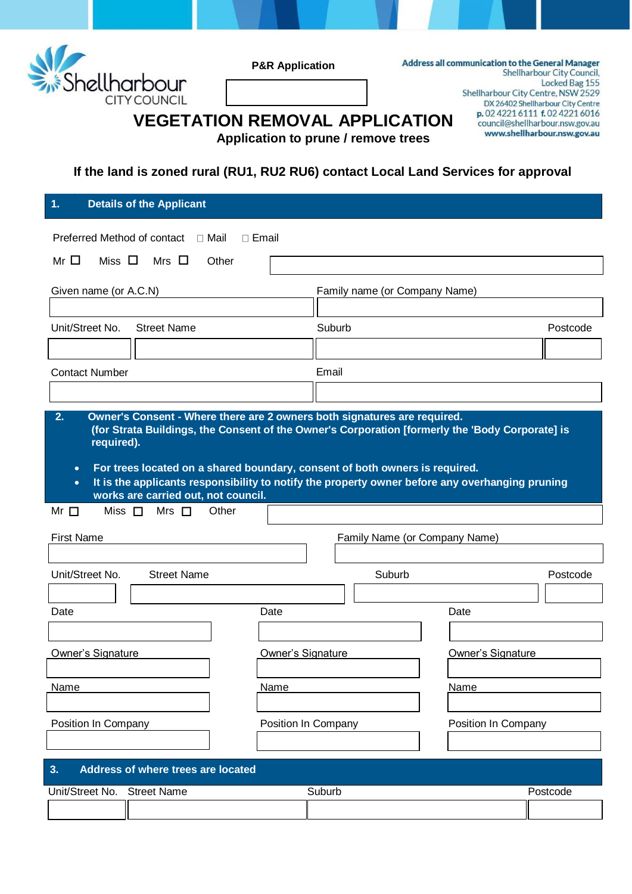

**P&R Application**

Address all communication to the General Manager Shellharbour City Council, Locked Bag 155 Shellharbour City Centre, NSW 2529 DX 26402 Shellharbour City Centre p.0242216111 f.0242216016 council@shellharbour.nsw.gov.au

www.shellharbour.nsw.gov.au

**VEGETATION REMOVAL APPLICATION Application to prune / remove trees**

**If the land is zoned rural (RU1, RU2 RU6) contact Local Land Services for approval** 

| 1.                                                 | <b>Details of the Applicant</b>                                                                                                                                                                                                                                                                                                                                                                      |                                            |                          |                               |      |          |
|----------------------------------------------------|------------------------------------------------------------------------------------------------------------------------------------------------------------------------------------------------------------------------------------------------------------------------------------------------------------------------------------------------------------------------------------------------------|--------------------------------------------|--------------------------|-------------------------------|------|----------|
|                                                    | Preferred Method of contact<br>⊟ Mail                                                                                                                                                                                                                                                                                                                                                                | □ Email                                    |                          |                               |      |          |
| Mr $\Box$                                          | Miss $\Box$<br>Mrs $\,\Box$<br>Other                                                                                                                                                                                                                                                                                                                                                                 |                                            |                          |                               |      |          |
| Given name (or A.C.N)                              |                                                                                                                                                                                                                                                                                                                                                                                                      |                                            |                          | Family name (or Company Name) |      |          |
|                                                    |                                                                                                                                                                                                                                                                                                                                                                                                      |                                            |                          |                               |      |          |
| Unit/Street No.                                    | <b>Street Name</b>                                                                                                                                                                                                                                                                                                                                                                                   |                                            | Suburb                   |                               |      | Postcode |
|                                                    |                                                                                                                                                                                                                                                                                                                                                                                                      |                                            |                          |                               |      |          |
| <b>Contact Number</b>                              |                                                                                                                                                                                                                                                                                                                                                                                                      |                                            | Email                    |                               |      |          |
|                                                    |                                                                                                                                                                                                                                                                                                                                                                                                      |                                            |                          |                               |      |          |
| 2.<br>required).<br>$\bullet$<br>$\bullet$         | Owner's Consent - Where there are 2 owners both signatures are required.<br>(for Strata Buildings, the Consent of the Owner's Corporation [formerly the 'Body Corporate] is<br>For trees located on a shared boundary, consent of both owners is required.<br>It is the applicants responsibility to notify the property owner before any overhanging pruning<br>works are carried out, not council. |                                            |                          |                               |      |          |
| Mr $\Box$                                          | Mrs $\Box$<br>Miss $\Box$<br>Other                                                                                                                                                                                                                                                                                                                                                                   |                                            |                          |                               |      |          |
| <b>First Name</b><br>Family Name (or Company Name) |                                                                                                                                                                                                                                                                                                                                                                                                      |                                            |                          |                               |      |          |
|                                                    |                                                                                                                                                                                                                                                                                                                                                                                                      |                                            |                          |                               |      |          |
| Unit/Street No.                                    | <b>Street Name</b>                                                                                                                                                                                                                                                                                                                                                                                   |                                            |                          | Suburb                        |      | Postcode |
|                                                    |                                                                                                                                                                                                                                                                                                                                                                                                      |                                            |                          |                               |      |          |
| Date                                               |                                                                                                                                                                                                                                                                                                                                                                                                      | Date                                       |                          |                               | Date |          |
|                                                    |                                                                                                                                                                                                                                                                                                                                                                                                      |                                            |                          |                               |      |          |
| <b>Owner's Signature</b>                           |                                                                                                                                                                                                                                                                                                                                                                                                      | Owner's Signature                          | <b>Owner's Signature</b> |                               |      |          |
| Name<br>Name                                       |                                                                                                                                                                                                                                                                                                                                                                                                      | Name                                       |                          |                               |      |          |
|                                                    |                                                                                                                                                                                                                                                                                                                                                                                                      |                                            |                          |                               |      |          |
| Position In Company                                |                                                                                                                                                                                                                                                                                                                                                                                                      | Position In Company<br>Position In Company |                          |                               |      |          |
|                                                    |                                                                                                                                                                                                                                                                                                                                                                                                      |                                            |                          |                               |      |          |
| Address of where trees are located<br>3.           |                                                                                                                                                                                                                                                                                                                                                                                                      |                                            |                          |                               |      |          |
| Unit/Street No. Street Name                        |                                                                                                                                                                                                                                                                                                                                                                                                      |                                            | Suburb                   |                               |      | Postcode |
|                                                    |                                                                                                                                                                                                                                                                                                                                                                                                      |                                            |                          |                               |      |          |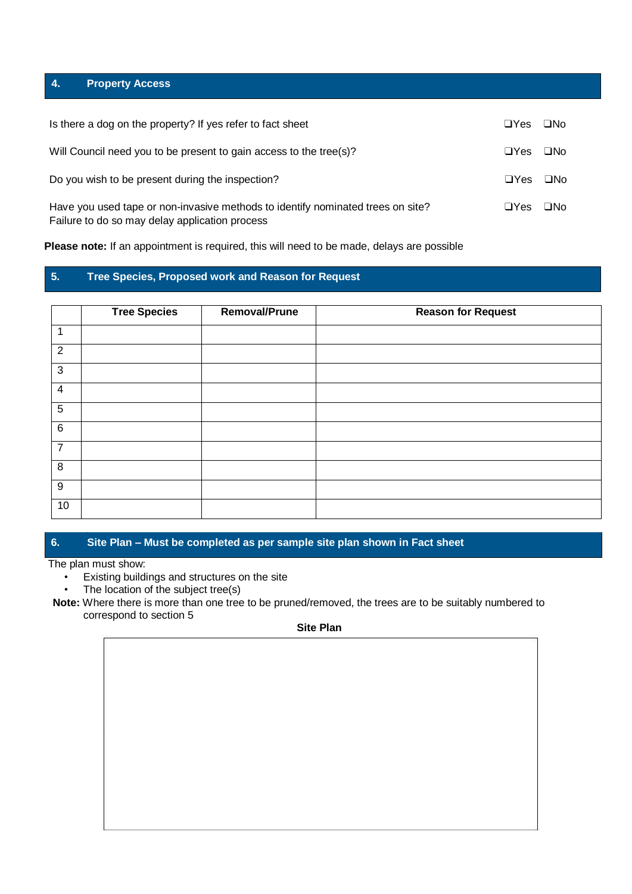# **4. Property Access**

| Is there a dog on the property? If yes refer to fact sheet                                                                        | $\Box Y$ es | $\square$ No |
|-----------------------------------------------------------------------------------------------------------------------------------|-------------|--------------|
| Will Council need you to be present to gain access to the tree(s)?                                                                | $\Box$ Yes  | $\square$ No |
| Do you wish to be present during the inspection?                                                                                  | $\Box Y$ es | ⊟No          |
| Have you used tape or non-invasive methods to identify nominated trees on site?<br>Failure to do so may delay application process | $\Box$ Yes  | $\square$ No |

**Please note:** If an appointment is required, this will need to be made, delays are possible

# **5. Tree Species, Proposed work and Reason for Request**

|                 | <b>Tree Species</b> | Removal/Prune | <b>Reason for Request</b> |
|-----------------|---------------------|---------------|---------------------------|
| 1               |                     |               |                           |
| $\overline{2}$  |                     |               |                           |
| $\mathbf{3}$    |                     |               |                           |
| $\overline{4}$  |                     |               |                           |
| $\overline{5}$  |                     |               |                           |
| $6\phantom{1}6$ |                     |               |                           |
| $\overline{7}$  |                     |               |                           |
| $\, 8$          |                     |               |                           |
| $9\,$           |                     |               |                           |
| 10 <sub>1</sub> |                     |               |                           |

# **6. Site Plan – Must be completed as per sample site plan shown in Fact sheet**

The plan must show:

- Existing buildings and structures on the site
- The location of the subject tree(s)

**Note:** Where there is more than one tree to be pruned/removed, the trees are to be suitably numbered to correspond to section 5

# **Site Plan**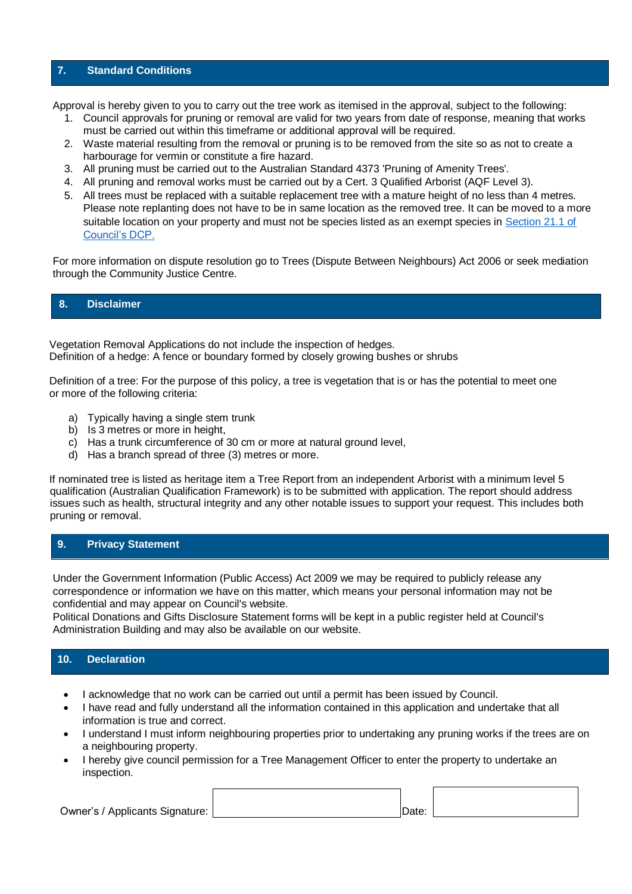### **7. Standard Conditions**

Approval is hereby given to you to carry out the tree work as itemised in the approval, subject to the following:

- 1. Council approvals for pruning or removal are valid for two years from date of response, meaning that works must be carried out within this timeframe or additional approval will be required.
- 2. Waste material resulting from the removal or pruning is to be removed from the site so as not to create a harbourage for vermin or constitute a fire hazard.
- 3. All pruning must be carried out to the Australian Standard 4373 'Pruning of Amenity Trees'.
- 4. All pruning and removal works must be carried out by a Cert. 3 Qualified Arborist (AQF Level 3).
- 5. All trees must be replaced with a suitable replacement tree with a mature height of no less than 4 metres. Please note replanting does not have to be in same location as the removed tree. It can be moved to a more suitable location on your property and must not be species listed as an exempt species in [Section 21.1 of](http://online.fliphtml5.com/usyo/eieo/#p=272)  [Council's DCP.](http://online.fliphtml5.com/usyo/eieo/#p=272)

For more information on dispute resolution go to [Trees \(Dispute Between Neighbours\) Act 2006](http://www.lec.lawlink.nsw.gov.au/lec/types_of_disputes/class_2.html) or seek mediation through the [Community Justice Centre.](http://www.cjc.nsw.gov.au/cjc/com_justice_index.html)

## **8. Disclaimer**

Vegetation Removal Applications do not include the inspection of hedges. Definition of a hedge: A fence or boundary formed by closely growing bushes or shrubs

Definition of a tree: For the purpose of this policy, a tree is vegetation that is or has the potential to meet one or more of the following criteria:

- a) Typically having a single stem trunk
- b) Is 3 metres or more in height,
- c) Has a trunk circumference of 30 cm or more at natural ground level,
- d) Has a branch spread of three (3) metres or more.

If nominated tree is listed as heritage item a Tree Report from an independent Arborist with a minimum level 5 qualification (Australian Qualification Framework) is to be submitted with application. The report should address issues such as health, structural integrity and any other notable issues to support your request. This includes both pruning or removal.

## **9. Privacy Statement**

Under the Government Information (Public Access) Act 2009 we may be required to publicly release any correspondence or information we have on this matter, which means your personal information may not be confidential and may appear on Council's website.

Political Donations and Gifts Disclosure Statement forms will be kept in a public register held at Council's Administration Building and may also be available on our website.

# **10. Declaration**

- I acknowledge that no work can be carried out until a permit has been issued by Council.
- I have read and fully understand all the information contained in this application and undertake that all information is true and correct.
- I understand I must inform neighbouring properties prior to undertaking any pruning works if the trees are on a neighbouring property.
- I hereby give council permission for a Tree Management Officer to enter the property to undertake an inspection.

### Owner's / Applicants Signature: Department of the United States of the United States of Date: